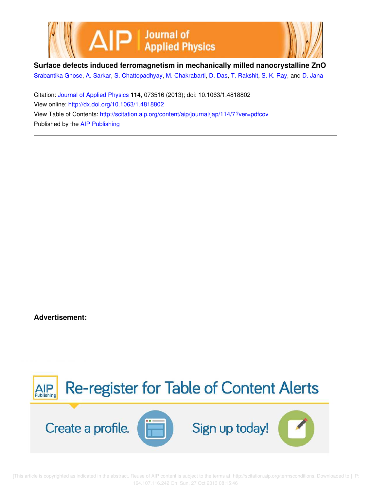



**Surface defects induced ferromagnetism in mechanically milled nanocrystalline ZnO** Srabantika Ghose, A. Sarkar, S. Chattopadhyay, M. Chakrabarti, D. Das, T. Rakshit, S. K. Ray, and D. Jana

Citation: Journal of Applied Physics **114**, 073516 (2013); doi: 10.1063/1.4818802 View online: http://dx.doi.org/10.1063/1.4818802 View Table of Contents: http://scitation.aip.org/content/aip/journal/jap/114/7?ver=pdfcov Published by the AIP Publishing

**Advertisement:**



 [This article is copyrighted as indicated in the abstract. Reuse of AIP content is subject to the terms at: http://scitation.aip.org/termsconditions. Downloaded to ] IP: 164.107.116.242 On: Sun, 27 Oct 2013 08:15:46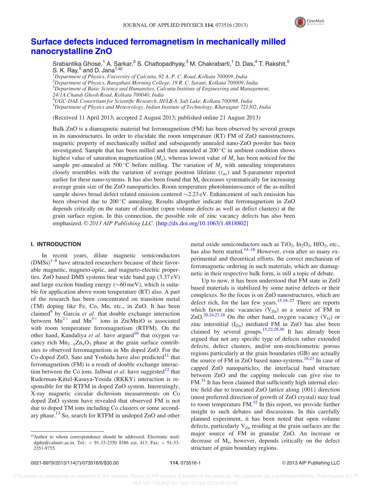

# Surface defects induced ferromagnetism in mechanically milled nanocrystalline ZnO

Srabantika Ghose,<sup>1</sup> A. Sarkar,<sup>2</sup> S. Chattopadhyay,<sup>3</sup> M. Chakrabarti,<sup>1</sup> D. Das,<sup>4</sup> T. Rakshit,<sup>5</sup> S. K. Ray,<sup>5</sup> and D. Jana<sup>1,a)</sup>

<sup>1</sup>Department of Physics, University of Calcutta, 92 A. P. C. Road, Kolkata 700009, India  $^2$ Department of Physics, Bangabasi Morning College, 19 R. C. Sarani, Kolkata 700009, India  $3$ Department of Basic Science and Humanities, Calcutta Institute of Engineering and Management, 24/1A Chandi Ghosh Road, Kolkata 700040, India <sup>4</sup>UGC-DAE Consortium for Scientific Research, III/LB-8, Salt Lake, Kolkata 700098, India <sup>5</sup>Department of Physics and Meteorology, Indian Institute of Technology, Kharagpur 721302, India

(Received 11 April 2013; accepted 2 August 2013; published online 21 August 2013)

Bulk ZnO is a diamagnetic material but ferromagnetism (FM) has been observed by several groups in its nanostructures. In order to elucidate the room temperature (RT) FM of ZnO nanostructures, magnetic property of mechanically milled and subsequently annealed nano-ZnO powder has been investigated. Sample that has been milled and then annealed at  $200\degree C$  in ambient condition shows highest value of saturation magnetization  $(M_s)$ , whereas lowest value of  $M_s$  has been noticed for the sample pre-annealed at 500 °C before milling. The variation of  $M_s$  with annealing temperatures closely resembles with the variation of average positron lifetime  $(\tau_{av})$  and S-parameter reported earlier for these nano-systems. It has also been found that  $M_s$  decreases systematically for increasing average grain size of the ZnO nanoparticles. Room temperature photoluminescence of the as-milled sample shows broad defect related emission centered  $\sim$ 2.23 eV. Enhancement of such emission has been observed due to 200 °C annealing. Results altogether indicate that ferromagnetism in ZnO depends critically on the nature of disorder (open volume defects as well as defect clusters) at the grain surface region. In this connection, the possible role of zinc vacancy defects has also been emphasized. © 2013 AIP Publishing LLC. [http://dx.doi.org/10.1063/1.4818802]

# I. INTRODUCTION

In recent years, dilute magnetic semiconductors  $(DMSS)^{1-8}$  have attracted researchers because of their favorable magnetic, magneto-optic, and magneto-electric properties. ZnO based DMS systems bear wide band gap (3.37 eV) and large exciton binding energy ( $\sim 60$  meV), which is suitable for application above room temperature (RT) also. A part of the research has been concentrated on transition metal (TM) doping like Fe, Co, Mn, etc., in ZnO. It has been claimed<sup>9</sup> by Garcia et al. that double exchange interaction between  $Mn^{2+}$  and  $Mn^{3+}$  ions in Zn(Mn)O is associated with room temperature ferromagnetism (RTFM). On the other hand, Kundaliya *et al.* have argued<sup>10</sup> that oxygen vacancy rich  $Mn_{2-x}Zn_xO_3$  phase at the grain surface contributes to observed ferromagnetism in Mn doped ZnO. For the Co-doped ZnO, Sato and Yoshida have also predicted $11$  that ferromagnetism (FM) is a result of double exchange interaction between the Co ions. Jalbout *et al*. have suggested<sup>12</sup> that Ruderman-Kittel-Kasuya-Yosida (RKKY) interaction is responsible for the RTFM in doped ZnO system. Interestingly, X-ray magnetic circular dichroism measurements on Co doped ZnO system have revealed that observed FM is not due to doped TM ions including Co clusters or some secondary phase.<sup>13</sup> So, search for RTFM in undoped ZnO and other metal oxide semiconductors such as  $TiO<sub>2</sub>$ ,  $In<sub>2</sub>O<sub>3</sub>$ , HfO<sub>2</sub>, etc., has also been started.<sup>14–18</sup> However, even after so many experimental and theoretical efforts, the correct mechanism of ferromagnetic ordering in such materials, which are diamagnetic in their respective bulk form, is still a topic of debate.

Up to now, it has been understood that FM state in ZnO based materials is stabilized by some native defects or their complexes. So the focus is on ZnO nanostructures, which are defect rich, for the last few years.<sup>15,18–27</sup> There are reports which favor zinc vacancies  $(V_{Zn})$  as a source of FM in ZnO.<sup>20,24,27,28</sup> On the other hand, oxygen vacancy  $(V<sub>O</sub>)$  or zinc interstitial  $(I_{Zn})$  mediated FM in ZnO has also been claimed by several groups.<sup>15,22,29,30</sup> It has already been argued that not any specific type of defects rather extended defects, defect clusters, and/or non-stoichiometric porous regions particularly at the grain boundaries (GB) are actually the source of FM in ZnO based nano-systems.<sup>18,23</sup> In case of capped ZnO nanoparticles, the interfacial band structure between ZnO and the capping molecule can give rise to FM.<sup>31</sup> It has been claimed that sufficiently high internal electric field due to truncated ZnO lattice along {001} direction (most preferred direction of growth of ZnO crystal) may lead to room temperature FM.<sup>32</sup> In this report, we provide further insight to such debates and discussions. In this carefully planned experiment, it has been noted that open volume defects, particularly  $V_{Zn}$  residing at the grain surfaces are the major source of FM in granular ZnO. An increase or decrease of M<sup>s</sup> , however, depends critically on the defect structure of grain boundary regions.

a)Author to whom correspondence should be addressed. Electronic mail: djphy@caluniv.ac.in. Tel.: + 91-33-2350 8386 ext. 413. Fax: + 91-33-2351-9755.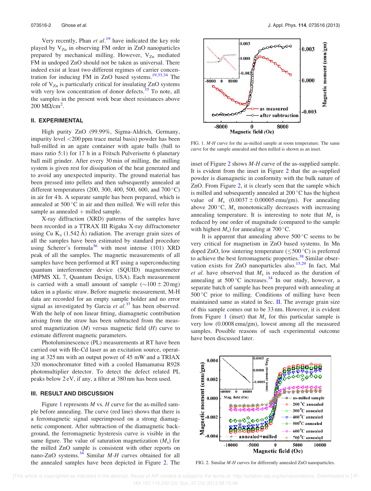Very recently, Phan et  $al$ <sup>19</sup> have indicated the key role played by  $V_{Zn}$  in observing FM order in ZnO nanoparticles prepared by mechanical milling. However,  $V_{Zn}$  mediated FM in undoped ZnO should not be taken as universal. There indeed exist at least two different regimes of carrier concentration for inducing FM in ZnO based systems.<sup>19,33,34</sup> The role of  $V_{Zn}$  is particularly critical for insulating  $ZnO$  systems with very low concentration of donor defects. $35$  To note, all the samples in the present work bear sheet resistances above  $200 \text{ M}\Omega/\text{cm}^2$ .

#### II. EXPERIMENTAL

High purity ZnO (99.99%, Sigma-Aldrich, Germany, impurity level <200 ppm trace metal basis) powder has been ball-milled in an agate container with agate balls (ball to mass ratio 5:1) for 17 h in a Fritsch Pulverisette 6 planetary ball mill grinder. After every 30 min of milling, the milling system is given rest for dissipation of the heat generated and to avoid any unexpected impurity. The ground material has been pressed into pellets and then subsequently annealed at different temperatures (200, 300, 400, 500, 600, and  $700^{\circ}$ C) in air for 4 h. A separate sample has been prepared, which is annealed at  $500\,^{\circ}\text{C}$  in air and then milled. We will refer this sample as annealed  $+$  milled sample.

X-ray diffraction (XRD) patterns of the samples have been recorded in a TTRAX III Rigaku X-ray diffractometer using Cu  $K_{\alpha}$  (1.542 Å) radiation. The average grain sizes of all the samples have been estimated by standard procedure using Scherer's formula<sup>36</sup> with most intense (101) XRD peak of all the samples. The magnetic measurements of all samples have been performed at RT using a superconducting quantum interferometer device (SQUID) magnetometer (MPMS XL 7, Quantum Design, USA). Each measurement is carried with a small amount of sample  $(\sim 100 \pm 20 \,\text{mg})$ taken in a plastic straw. Before magnetic measurement, M-H data are recorded for an empty sample holder and no error signal as investigated by Garcia *et al.*<sup>37</sup> has been observed. With the help of non linear fitting, diamagnetic contribution arising from the straw has been subtracted from the measured magnetization  $(M)$  versus magnetic field  $(H)$  curve to estimate different magnetic parameters.

Photoluminescence (PL) measurements at RT have been carried out with He-Cd laser as an excitation source, operating at 325 nm with an output power of 45 mW and a TRIAX 320 monochromator fitted with a cooled Hamamatsu R928 photomultiplier detector. To detect the defect related PL peaks below 2 eV, if any, a filter at 380 nm has been used.

#### III. RESULT AND DISCUSSION

Figure 1 represents  $M$  vs.  $H$  curve for the as-milled sample before annealing. The curve (red line) shows that there is a ferromagnetic signal superimposed on a strong diamagnetic component. After subtraction of the diamagnetic background, the ferromagnetic hysteresis curve is visible in the same figure. The value of saturation magnetization  $(M<sub>s</sub>)$  for the milled ZnO sample is consistent with other reports on nano-ZnO systems.<sup>34</sup> Similar  $M-H$  curves obtained for all the annealed samples have been depicted in Figure 2. The



FIG. 1. M-H curve for the as-milled sample at room temperature. The same curve for the sample annealed and then milled is shown as an inset.

inset of Figure 2 shows M-H curve of the as-supplied sample. It is evident from the inset in Figure 2 that the as-supplied powder is diamagnetic in conformity with the bulk nature of ZnO. From Figure 2, it is clearly seen that the sample which is milled and subsequently annealed at  $200\,^{\circ}\text{C}$  has the highest value of  $M_s$  (0.0037  $\pm$  0.00005 emu/gm). For annealing above 200 °C,  $M_s$  monotonically decreases with increasing annealing temperature. It is interesting to note that  $M_s$  is reduced by one order of magnitude (compared to the sample with highest  $M_s$ ) for annealing at 700 °C.

It is apparent that annealing above  $500\,^{\circ}\text{C}$  seems to be very critical for magnetism in ZnO based systems. In Mn doped ZnO, low sintering temperature  $(\leq 500 \degree C)$  is preferred to achieve the best ferromagnetic properties.<sup>38</sup> Similar observation exists for ZnO nanoparticles also.<sup>15,29</sup> In fact, Mal *et al.* have observed that  $M_s$  is reduced as the duration of annealing at  $500^{\circ}$ C increases.<sup>34</sup> In our study, however, a separate batch of sample has been prepared with annealing at 500 °C prior to milling. Conditions of milling have been maintained same as stated in Sec. II. The average grain size of this sample comes out to be 33 nm. However, it is evident from Figure 1 (inset) that  $M_s$  for this particular sample is very low (0.0008 emu/gm), lowest among all the measured samples. Possible reasons of such experimental outcome have been discussed later.



FIG. 2. Similar M-H curves for differently annealed ZnO nanoparticles.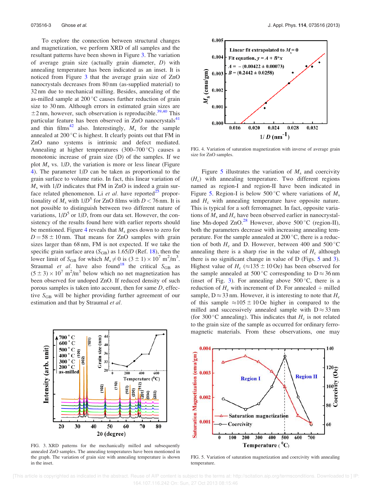To explore the connection between structural changes and magnetization, we perform XRD of all samples and the resultant patterns have been shown in Figure 3. The variation of average grain size (actually grain diameter, D) with annealing temperature has been indicated as an inset. It is noticed from Figure 3 that the average grain size of ZnO nanocrystals decreases from 80 nm (as-supplied material) to 32 nm due to mechanical milling. Besides, annealing of the as-milled sample at  $200^{\circ}$ C causes further reduction of grain size to 30 nm. Although errors in estimated grain sizes are  $\pm$ 2 nm, however, such observation is reproducible.<sup>39,40</sup> This particular feature has been observed in  $ZnO$  nanocrystals<sup>41</sup> and thin films<sup>42</sup> also. Interestingly,  $M_s$  for the sample annealed at  $200^{\circ}$ C is highest. It clearly points out that FM in ZnO nano systems is intrinsic and defect mediated. Annealing at higher temperatures  $(300-700\degree C)$  causes a monotonic increase of grain size (D) of the samples. If we plot  $M_s$  vs.  $1/D$ , the variation is more or less linear (Figure 4). The parameter 1/D can be taken as proportional to the grain surface to volume ratio. In fact, this linear variation of  $M<sub>s</sub>$  with 1/D indicates that FM in ZnO is indeed a grain surface related phenomenon. Li *et al.* have reported<sup>25</sup> proportionality of  $\hat{M}_s$  with  $1/D^5$  for ZnO films with  $D < 76$  nm. It is not possible to distinguish between two different nature of variations,  $1/D^5$  or  $1/D$ , from our data set. However, the consistency of the results found here with earlier reports should be mentioned. Figure 4 reveals that  $M<sub>s</sub>$  goes down to zero for  $D = 58 \pm 10$  nm. That means for ZnO samples with grain sizes larger than 68 nm, FM is not expected. If we take the specific grain surface area  $(S<sub>GB</sub>)$  as 1.65/D (Ref. 18), then the lower limit of S<sub>GB</sub> for which  $M_s \neq 0$  is  $(3 \pm 1) \times 10^7$  m<sup>2</sup>/m<sup>3</sup>. Straumal et al. have also found<sup>18</sup> the critical  $S<sub>GB</sub>$  as  $(5 \pm 3) \times 10^7$  m<sup>2</sup>/m<sup>3</sup> below which no net magnetization has been observed for undoped ZnO. If reduced density of such porous samples is taken into account, then for same D, effective  $S<sub>GB</sub>$  will be higher providing further agreement of our estimation and that by Straumal et al.



FIG. 3. XRD patterns for the mechanically milled and subsequently annealed ZnO samples. The annealing temperatures have been mentioned in the graph. The variation of grain size with annealing temperature is shown in the inset.



FIG. 4. Variation of saturation magnetization with inverse of average grain size for ZnO samples.

Figure 5 illustrates the variation of  $M_s$  and coercivity  $(H_c)$  with annealing temperature. Two different regions named as region-I and region-II have been indicated in Figure 5. Region-I is below 500 °C where variations of  $M_s$ and  $H_c$  with annealing temperature have opposite nature. This is typical for a soft ferromagnet. In fact, opposite variations of  $M_s$  and  $H_c$  have been observed earlier in nanocrystalline Mn-doped ZnO.<sup>28</sup> However, above 500 °C (region-II), both the parameters decrease with increasing annealing temperature. For the sample annealed at  $200^{\circ}$ C, there is a reduction of both  $H_c$  and D. However, between 400 and 500 °C annealing there is a sharp rise in the value of  $H_c$  although there is no significant change in value of D (Figs. 5 and 3). Highest value of  $H_c$  ( $\approx$ 135 ± 10 Oe) has been observed for the sample annealed at 500 °C corresponding to  $D \approx 36$  nm (inset of Fig. 3). For annealing above  $500^{\circ}$ C, there is a reduction of  $H_c$  with increment of D. For annealed  $+$  milled sample,  $D \approx 33$  nm. However, it is interesting to note that  $H_c$ of this sample  $\approx 105 \pm 10$  Oe higher in compared to the milled and successively annealed sample with  $D \approx 33$  nm (for 300 °C annealing). This indicates that  $H_c$  is not related to the grain size of the sample as occurred for ordinary ferromagnetic materials. From these observations, one may



FIG. 5. Variation of saturation magnetization and coercivity with annealing temperature.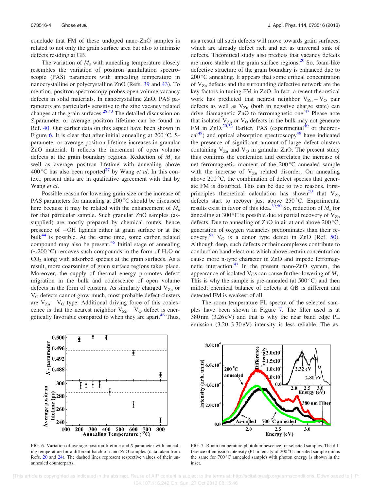conclude that FM of these undoped nano-ZnO samples is related to not only the grain surface area but also to intrinsic defects residing at GB.

The variation of  $M<sub>s</sub>$  with annealing temperature closely resembles the variation of positron annihilation spectroscopic (PAS) parameters with annealing temperature in nanocrystalline or polycrystalline ZnO (Refs. 39 and 43). To mention, positron spectroscopy probes open volume vacancy defects in solid materials. In nanocrystalline ZnO, PAS parameters are particularly sensitive to the zinc vacancy related changes at the grain surfaces. $28,43$  The detailed discussion on S-parameter or average positron lifetime can be found in Ref. 40. Our earlier data on this aspect have been shown in Figure 6. It is clear that after initial annealing at  $200\,^{\circ}\text{C}$ , Sparameter or average positron lifetime increases in granular ZnO material. It reflects the increment of open volume defects at the grain boundary regions. Reduction of  $M_s$  as well as average positron lifetime with annealing above 400 °C has also been reported<sup>27</sup> by Wang et al. In this context, present data are in qualitative agreement with that by Wang *et al.* 

Possible reason for lowering grain size or the increase of PAS parameters for annealing at  $200\,^{\circ}\text{C}$  should be discussed here because it may be related with the enhancement of  $M_s$ for that particular sample. Such granular ZnO samples (assupplied) are mostly prepared by chemical routes, hence presence of OH ligands either at grain surface or at the bulk $^{44}$  is possible. At the same time, some carbon related compound may also be present. $45$  Initial stage of annealing  $(\sim 200 \degree C)$  removes such compounds in the form of H<sub>2</sub>O or  $CO<sub>2</sub>$  along with adsorbed species at the grain surfaces. As a result, more coarsening of grain surface regions takes place. Moreover, the supply of thermal energy promotes defect migration in the bulk and coalescence of open volume defects in the form of clusters. As similarly charged  $V_{Zn}$  or V<sub>O</sub> defects cannot grow much, most probable defect clusters are  $V_{Zn} - V_O$  type. Additional driving force of this coalescence is that the nearest neighbor  $V_{Zn} - V_O$  defect is energetically favorable compared to when they are apart.<sup>46</sup> Thus, as a result all such defects will move towards grain surfaces, which are already defect rich and act as universal sink of defects. Theoretical study also predicts that vacancy defects are more stable at the grain surface regions. $^{20}$  So, foam-like defective structure of the grain boundary is enhanced due to 200 °C annealing. It appears that some critical concentration of  $V_{Zn}$  defects and the surrounding defective network are the key factors in tuning FM in ZnO. In fact, a recent theoretical work has predicted that nearest neighbor  $V_{Zn} - V_O$  pair defects as well as  $V_{Zn}$  (both in negative charge state) can drive diamagnetic ZnO to ferromagnetic one.<sup>47</sup> Please note that isolated  $V_{Zn}$  or  $V_{O}$  defects in the bulk may not generate FM in ZnO.<sup>20,32</sup> Earlier, PAS (experimental<sup>40</sup> or theoreti $cal^{48}$ ) and optical absorption spectroscopy<sup>49</sup> have indicated the presence of significant amount of large defect clusters containing  $V_{Zn}$  and  $V_{O}$  in granular ZnO. The present study thus confirms the contention and correlates the increase of net ferromagnetic moment of the 200 °C annealed sample with the increase of  $V_{Zn}$  related disorder. On annealing above  $200\,^{\circ}\text{C}$ , the combination of defect species that generate FM is disturbed. This can be due to two reasons. Firstprinciples theoretical calculation has shown<sup>50</sup> that  $V_{Zn}$ defects start to recover just above  $250^{\circ}$ C. Experimental results exist in favor of this idea.<sup>39,50</sup> So, reduction of  $M_s$  for annealing at 300 $^{\circ}$ C is possible due to partial recovery of  $V_{Zn}$ defects. Due to annealing of ZnO in air at and above  $200^{\circ}$ C, generation of oxygen vacancies predominates than their recovery.<sup>51</sup> V<sub>O</sub> is a donor type defect in ZnO (Ref. 50). Although deep, such defects or their complexes contribute to conduction band electrons which above certain concentration cause more n-type character in ZnO and impede ferromagnetic interaction.<sup>47</sup> In the present nano-ZnO system, the appearance of isolated  $V_{\rm O}$ s can cause further lowering of  $M_s$ . This is why the sample is pre-annealed (at  $500^{\circ}$ C) and then milled; chemical balance of defects at GB is different and detected FM is weakest of all.

The room temperature PL spectra of the selected samples have been shown in Figure 7. The filter used is at 380 nm (3.26 eV) and that is why the near band edge PL emission (3.20–3.30 eV) intensity is less reliable. The as-



FIG. 6. Variation of average positron lifetime and S-parameter with annealing temperature for a different batch of nano-ZnO samples (data taken from Refs. 20 and 24). The dashed lines represent respective values of their unannealed counterparts.



FIG. 7. Room temperature photoluminescence for selected samples. The difference of emission intensity (PL intensity of 200 °C annealed sample minus the same for 700 °C annealed sample) with photon energy is shown in the inset.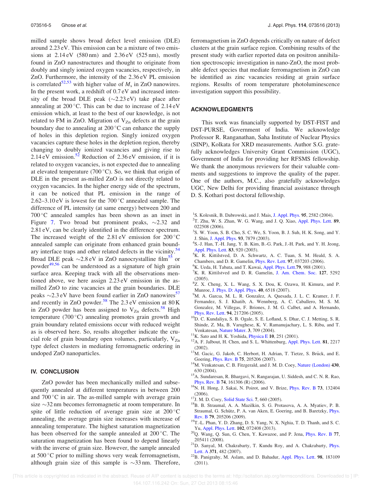milled sample shows broad defect level emission (DLE) around 2.23 eV. This emission can be a mixture of two emissions at  $2.14 \text{ eV}$  (580 nm) and  $2.36 \text{ eV}$  (525 nm), mostly found in ZnO nanostructures and thought to originate from doubly and singly ionized oxygen vacancies, respectively, in ZnO. Furthermore, the intensity of the 2.36 eV PL emission is correlated<sup>52,53</sup> with higher value of  $M_s$  in ZnO nanowires. In the present work, a redshift of 0.7 eV and increased intensity of the broad DLE peak  $(\sim 2.23 \text{ eV})$  take place after annealing at  $200^{\circ}$ C. This can be due to increase of  $2.14 \text{ eV}$ emission which, at least to the best of our knowledge, is not related to FM in ZnO. Migration of  $V_{Zn}$  defects at the grain boundary due to annealing at  $200\degree C$  can enhance the supply of holes in this depletion region. Singly ionized oxygen vacancies capture these holes in the depletion region, thereby changing to doubly ionized vacancies and giving rise to 2.14 eV emission.<sup>52</sup> Reduction of 2.36 eV emission, if it is related to oxygen vacancies, is not expected due to annealing at elevated temperature  $(700\degree C)$ . So, we think that origin of DLE in the present as-milled ZnO is not directly related to oxygen vacancies. In the higher energy side of the spectrum, it can be noticed that PL emission in the range of  $2.62 - 3.10$  eV is lowest for the  $700^{\circ}$ C annealed sample. The difference of PL intensity (at same energy) between 200 and 700 °C annealed samples has been shown as an inset in Figure 7. Two broad but prominent peaks,  $\sim$ 2.32 and 2.81 eV, can be clearly identified in the difference spectrum. The increased weight of the 2.81 eV emission for  $200^{\circ}$ C annealed sample can originate from enhanced grain boundary interface traps and other related defects in the vicinity.<sup>54</sup> Broad DLE peak  $\sim$ 2.8 eV in ZnO nanocrystalline film<sup>55</sup> or powder<sup>49,56</sup> can be understood as a signature of high grain surface area. Keeping track with all the observations mentioned above, we here assign 2.23 eV emission in the asmilled ZnO to zinc vacancies at the grain boundaries. DLE peaks  $\sim$ 2.3 eV have been found earlier in ZnO nanowires<sup>57</sup> and recently in ZnO powder.<sup>58</sup> The  $2.3 \text{ eV}$  emission at  $80 \text{ K}$ in ZnO powder has been assigned to  $V_{Zn}$  defects.<sup>58</sup> High temperature  $(700 °C)$  annealing promotes grain growth and grain boundary related emissions occur with reduced weight as is observed here. So, results altogether indicate the crucial role of grain boundary open volumes, particularly,  $V_{Zn}$ type defect clusters in mediating ferromagnetic ordering in undoped ZnO nanoparticles.

## IV. CONCLUSION

ZnO powder has been mechanically milled and subsequently annealed at different temperatures in between 200 and  $700^{\circ}$ C in air. The as-milled sample with average grain size  $\sim$ 32 nm becomes ferromagnetic at room temperature. In spite of little reduction of average grain size at  $200^{\circ}$ C annealing, the average grain size increases with increase of annealing temperature. The highest saturation magnetization has been observed for the sample annealed at  $200^{\circ}$ C. The saturation magnetization has been found to depend linearly with the inverse of grain size. However, the sample annealed at 500 °C prior to milling shows very weak ferromagnetism, although grain size of this sample is  $\sim$ 33 nm. Therefore,

ferromagnetism in ZnO depends critically on nature of defect clusters at the grain surface region. Combining results of the present study with earlier reported data on positron annihilation spectroscopic investigation in nano-ZnO, the most probable defect species that mediate ferromagnetism in ZnO can be identified as zinc vacancies residing at grain surface regions. Results of room temperature photoluminescence investigation support this possibility.

### ACKNOWLEDGMENTS

This work was financially supported by DST-FIST and DST-PURSE, Government of India. We acknowledge Professor R. Ranganathan, Saha Institute of Nuclear Physics (SINP), Kolkata for XRD measurements. Author S.G. gratefully acknowledges University Grant Commission (UGC), Government of India for providing her RFSMS fellowship. We thank the anonymous reviewers for their valuable comments and suggestions to improve the quality of the paper. One of the authors, M.C., also gratefully acknowledges UGC, New Delhi for providing financial assistance through D. S. Kothari post doctoral fellowship.

- <sup>1</sup>S. Kolesnik, B. Dabrowski, and J. Mais, J. Appl. Phys. 95, 2582 (2004).
- <sup>2</sup>T. Zhu, W. S. Zhan, W. G. Wang, and J. Q. Xiao, Appl. Phys. Lett. 89, 022508 (2006).
- 3 S. W. Yoon, S. B. Cho, S. C. We, S. Yoon, B. J. Suh, H. K. Song, and Y. J. Shin, J. Appl. Phys. 93, 7879 (2003).
- 4 S.-J. Han, T.-H. Jang, Y. B. Kim, B.-G. Park, J.-H. Park, and Y. H. Jeong, Appl. Phys. Lett. 83, 920 (2003).
- ${}^{5}$ K. R. Kittilstved, D. A. Schwartz, A. C. Tuan, S. M. Heald, S. A. Chambers, and D. R. Gamelin, Phys. Rev. Lett. 97, 037203 (2006).
- <sup>6</sup>K. Ueda, H. Tabata, and T. Kawai, Appl. Phys. Lett.79, 988 (2001).
- ${}^{7}$ K. R. Kittilstved and D. R. Gamelin, J. Am. Chem. Soc. 127, 5292 (2005).
- 8 Z. X. Cheng, X. L. Wang, S. X. Dou, K. Ozawa, H. Kimura, and P. Munroe, J. Phys. D: Appl. Phys. 40, 6518 (2007).
- <sup>9</sup>M. A. Garcıa, M. L. R. Gonzalez, A. Quesada, J. L. C. Kramer, J. F. Fernandez, S. J. Khatib, A. Wennberg, A. C. Caballero, M. S. M. Gonzalez, M. Villegas, F. Briones, J. M. G. Calbet, and A. Hernando, Phys. Rev. Lett. 94, 217206 (2005).
- <sup>10</sup>D. C. Kundaliya, S. B. Ogale, S. E. Lofland, S. Dhar, C. J. Metting, S. R. Shinde, Z. Ma, B. Varughese, K. V. Ramanujachary, L. S. Riba, and T. Venkatesan, Nature Mater. 3, 709 (2004).
- <sup>11</sup>K. Sato and H. K. Yoshida, *Physica* E **10**, 251 (2001).
- <sup>12</sup>A. F. Jalbout, H. Chen, and S. L. Whittenburg, Appl. Phys. Lett. **81**, 2217 (2002).
- <sup>13</sup>M. Gacic, G. Jakob, C. Herbort, H. Adrian, T. Tietze, S. Brück, and E. Goering, Phys. Rev. B 75, 205206 (2007).
- <sup>14</sup>M. Venkatesan, C. B. Fitzgerald, and J. M. D. Coey, Nature (London) 430, 630 (2004).
- <sup>15</sup>A. Sundaresan, R. Bhargavi, N. Rangarajan, U. Siddesh, and C. N. R. Rao, Phys. Rev. B 74, 161306 (R) (2006).
- <sup>16</sup>N. H. Hong, J. Sakai, N. Poirot, and V. Brize, *Phys. Rev. B* 73, 132404 (2006).
- <sup>17</sup>J. M. D. Coey, Solid State Sci. 7, 660 (2005).
- <sup>18</sup>B. B. Straumal, A. A. Mazilkin, S. G. Protasova, A. A. Myatiev, P. B. Straumal, G. Schütz, P. A. van Aken, E. Goering, and B. Baretzky, *Phys.* Rev. B 79, 205206 (2009).
- <sup>19</sup>T.-L. Phan, Y. D. Zhang, D. S. Yang, N. X. Nghia, T. D. Thanh, and S. C. Yu, Appl. Phys. Lett. 102, 072408 (2013).
- <sup>20</sup>Q. Wang, Q. Sun, G. Chen, Y. Kawazoe, and P. Jena, Phys. Rev. B 77, 205411 (2008).
- <sup>21</sup>D. Sanyal, M. Chakrabarty, T. Kundu Roy, and A. Chakrabarty, Phys. Lett. A 371, 482 (2007).
- <sup>22</sup>B. Panigrahy, M. Aslam, and D. Bahadur, Appl. Phys. Lett. 98, 183109 (2011).